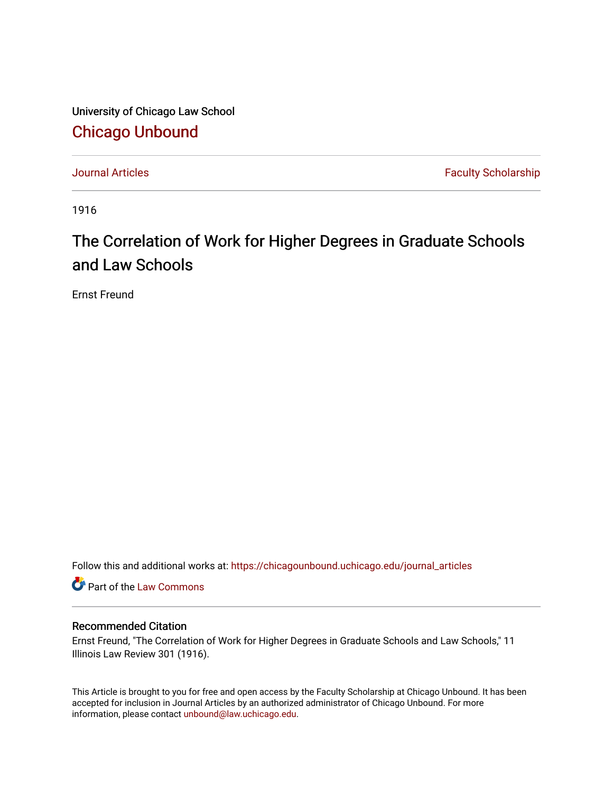University of Chicago Law School [Chicago Unbound](https://chicagounbound.uchicago.edu/)

[Journal Articles](https://chicagounbound.uchicago.edu/journal_articles) **Faculty Scholarship Faculty Scholarship** 

1916

# The Correlation of Work for Higher Degrees in Graduate Schools and Law Schools

Ernst Freund

Follow this and additional works at: [https://chicagounbound.uchicago.edu/journal\\_articles](https://chicagounbound.uchicago.edu/journal_articles?utm_source=chicagounbound.uchicago.edu%2Fjournal_articles%2F2786&utm_medium=PDF&utm_campaign=PDFCoverPages) 

Part of the [Law Commons](http://network.bepress.com/hgg/discipline/578?utm_source=chicagounbound.uchicago.edu%2Fjournal_articles%2F2786&utm_medium=PDF&utm_campaign=PDFCoverPages)

### Recommended Citation

Ernst Freund, "The Correlation of Work for Higher Degrees in Graduate Schools and Law Schools," 11 Illinois Law Review 301 (1916).

This Article is brought to you for free and open access by the Faculty Scholarship at Chicago Unbound. It has been accepted for inclusion in Journal Articles by an authorized administrator of Chicago Unbound. For more information, please contact [unbound@law.uchicago.edu](mailto:unbound@law.uchicago.edu).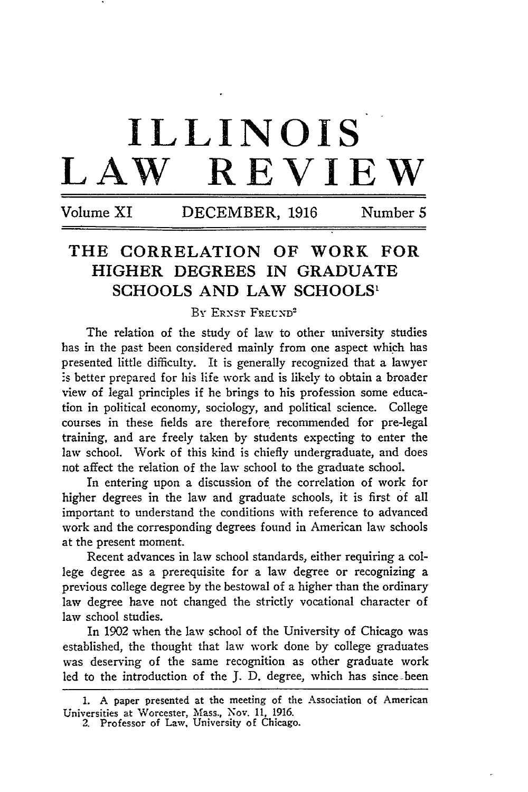# **ILLINOIS LAW REVIEW**

**Volume XI DECEMBER, 1916 Number 5**

## **THE CORRELATION OF WORK FOR HIGHER DEGREES IN GRADUATE SCHOOLS AND LAW SCHOOLS1**

#### BY ERNST FREUND<sup>2</sup>

The relation of the study of law to other university studies has in the past been considered mainly from one aspect which has presented little difficulty. It is generally recognized that a lawyer is better prepared for his life work and is likely to obtain a broader view of legal principles if he brings to his profession some education in political economy, sociology, and political science. College courses in these fields are therefore. recommended for pre-legal training, and are freely taken by students expecting to enter the law school. Work of this kind is chiefly undergraduate, and does not affect the relation of the law school to the graduate school.

In entering upon a discussion of the correlation of work for higher degrees in the law and graduate schools, it is first of all important to understand the conditions with reference to advanced work and the corresponding degrees found in American law schools at the present moment.

Recent advances in law school standards, either requiring a college degree as a prerequisite for a law degree or recognizing a previous college degree by the bestowal of a higher than the ordinary law degree have not changed the strictly vocational character of law school studies.

In 1902 when the law school of the University of Chicago was established, the thought that law work done by college graduates was deserving of the same recognition as other graduate work led to the introduction of the J. D. degree, which has since-been

<sup>1.</sup> A paper presented at the meeting of the Association of American Universities at Worcester, Mass., Nov. 11, 1916. 2. Professor of Law, University of Chicago.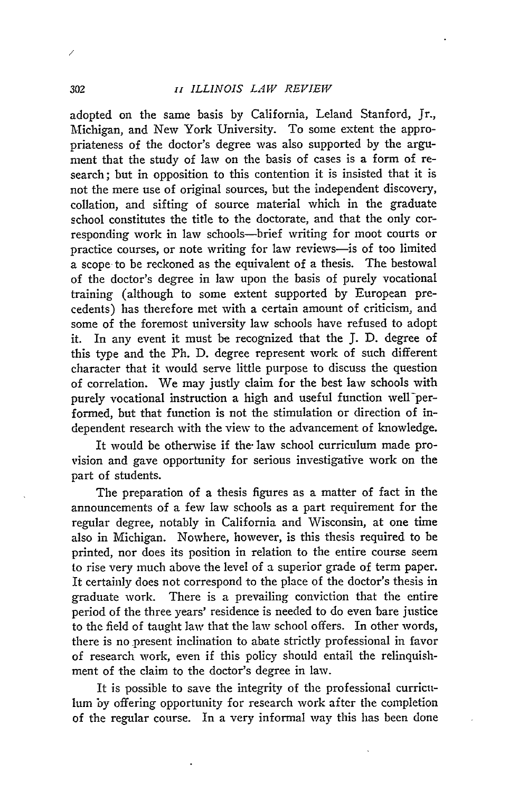adopted on the same basis by California, Leland Stanford, Jr., Michigan, and New York University. To some extent the appropriateness of the doctor's degree was also supported by the argument that the study of law on the basis of cases is a form of research; but in opposition to this contention it is insisted that it is not the mere use of original sources, but the independent discovery, collation, and sifting of source material which in the graduate school constitutes the title to the doctorate, and that the only corresponding work in law schools-brief writing for moot courts or practice courses, or note writing for law reviews-is of too limited a scope to be reckoned as the equivalent of a thesis. The bestowal of the doctor's degree in law upon the basis of purely vocational training (although to some extent supported by European precedents) has therefore met with a certain amount of criticism, and some of the foremost university law schools have refused to adopt it. In any event it must be recognized that the J. D. degree of this type and the Ph. D. degree represent work of such different character that it would serve little purpose to discuss the question of correlation. We may justly claim for the best law schools with purely vocational instruction a high and useful function well performed, but that function is not the stimulation or direction of independent research with the view to the advancement of knowledge.

It would be otherwise if the- law school curriculum made provision and gave opportunity for serious investigative work on the part of students.

The preparation of a thesis figures as a matter of fact in the announcements of a few law schools as a part requirement for the regular degree, notably in California and Wisconsin, at one time also in Michigan. Nowhere, however, is this thesis required to be printed, nor does its position in relation to the entire course seem to rise very much above the level of a superior grade of term paper. It certainly does not correspond to the place of the doctor's thesis in graduate work. There is a prevailing conviction that the entire period of the three years' residence is needed to do even bare justice to the field of taught law that the law school offers. In other words, there is no present inclination to abate strictly professional in favor of research work, even if this policy should entail the relinquishment of the claim to the doctor's degree in law.

It is possible to save the integrity of the professional curriculum by offering opportunity for research work after the completion of the regular course. In a very informal way this has been done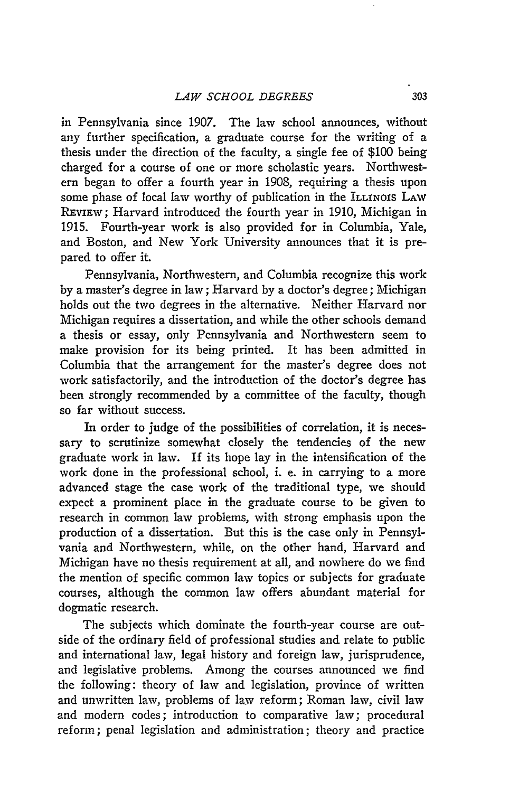in Pennsylvania since 1907. The law school announces, without any further specification, a graduate course for the writing of a thesis under the direction of the faculty, a single fee of \$100 being charged for a course of one or more scholastic years. Northwestern began to offer a fourth year in 1908, requiring a thesis upon some phase of local law worthy of publication in the ILLINOIS LAW REVIEW; Harvard introduced the fourth year in **1910,** Michigan in 1915. Fourth-year work is also provided for in Columbia, Yale, and Boston, and New York University announces that it is prepared to offer it.

Pennsylvania, Northwestern, and Columbia recognize this work by a master's degree in law; Harvard by a doctor's degree; Michigan holds out the two degrees in the alternative. Neither Harvard nor Michigan requires a dissertation, and while the other schools demand a thesis or essay, only Pennsylvania and Northwestern seem to make provision for its being printed. It has been admitted in Columbia that the arrangement for the master's degree does not work satisfactorily, and the introduction of the doctor's degree has been strongly recommended by a committee of the faculty, though so far without success.

In order to judge of the possibilities of correlation, it is necessary to scrutinize somewhat closely the tendencies of the new graduate work in law. If its hope lay in the intensification of the work done in the professional school, i. e. in carrying to a more advanced stage the case work of the traditional type, we should expect a prominent place in the graduate course to be given to research in common law problems, with strong emphasis upon the production of a dissertation. But this is the case only in Pennsylvania and Northwestern, while, on the other hand, Harvard and Michigan have no thesis requirement at all, and nowhere do we find the mention of specific common law topics or subjects for graduate courses, although the common law offers abundant material for dogmatic research.

The subjects which dominate the fourth-year course are outside of the ordinary field of professional studies and relate to public and international law, legal history and foreign law, jurisprudence, and legislative problems. Among the courses announced we find the following: theory of law and legislation, province of written and unwritten law, problems of law reform; Roman law, civil law and modern codes; introduction to comparative law; procedural reform; penal legislation and administration; theory and practice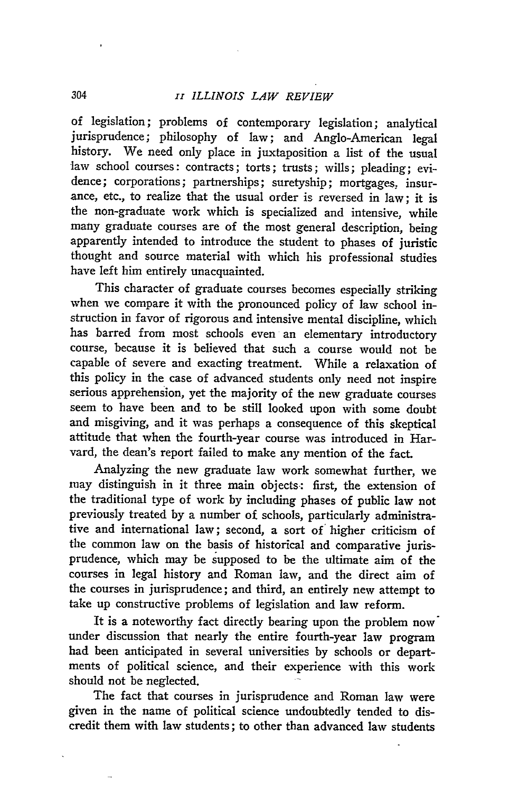of legislation; problems of contemporary legislation; analytical jurisprudence; philosophy of law; and Anglo-American legal history. We need only place in juxtaposition a list of the usual law school courses: contracts; torts; trusts; wills; pleading; evidence; corporations; partnerships; suretyship; mortgages, insurance, etc., to realize that the usual order is reversed in law; it is the non-graduate work which is specialized and intensive, while many graduate courses are of the most general description, being apparently intended to introduce the student to phases of juristic thought and source material with which his professional studies have left him entirely unacquainted.

This character of graduate courses becomes especially striking when we compare it with the pronounced policy of law school instruction in favor of rigorous and intensive mental discipline, which has barred from most schools even an elementary introductory course, because it is believed that such a course would not be capable of severe and exacting treatment. While a relaxation of this policy in the case of advanced students only need not inspire serious apprehension, yet the majority of the new graduate courses seem to have been and to be still looked upon with some doubt and misgiving, and it was perhaps a consequence of this skeptical attitude that when the fourth-year course was introduced in Harvard, the dean's report failed to make any mention of the fact.

Analyzing the new graduate law work somewhat further, we may distinguish in it three main objects: first, the extension of the traditional type of work by including phases of public law not previously treated by a number of schools, particularly administrative and international law; second, a sort of higher criticism of the common law on the basis of historical and comparative jurisprudence, which may be supposed to be the ultimate aim of the courses in legal history and Roman law, and the direct aim of the courses in jurisprudence; and third, an entirely new attempt to take up constructive problems of legislation and law reform.

It is a noteworthy fact directly bearing upon the problem now under discussion that nearly the entire fourth-year law program had been anticipated in several universities by schools or departments of political science, and their experience with this work should not be neglected.

The fact that courses in jurisprudence and Roman law were given in the name of political science undoubtedly tended to discredit them with law students; to other than advanced law students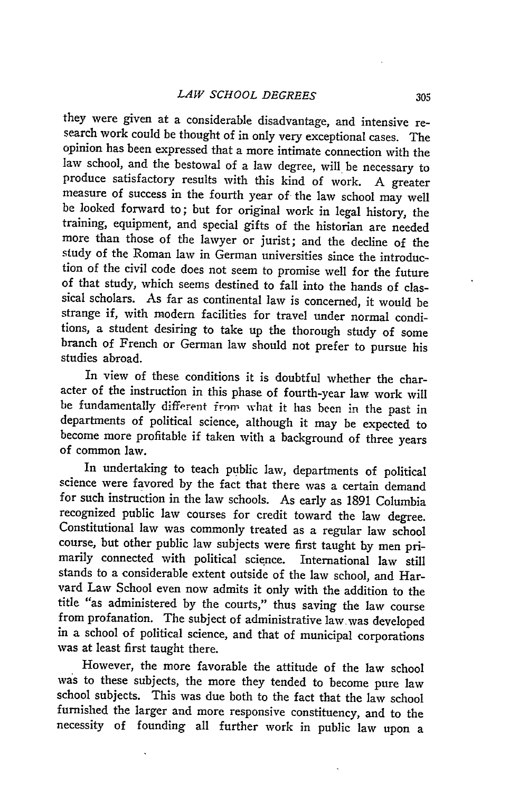they were given at a considerable disadvantage, and intensive research work could be thought of in only very exceptional cases. The opinion has been expressed that a more intimate connection with the law school, and the bestowal of a law degree, will be necessary to produce satisfactory results with this kind of work. A greater measure of success in the fourth year of the law school may well be looked forward to; but for original work in legal history, the training, equipment, and special gifts of the historian are needed more than those of the lawyer or jurist; and the decline of the study of the Roman law in German universities since the introduction of the civil code does not seem to promise well for the future of that study, which seems destined to fall into the hands of classical scholars. As far as continental law is concerned, it would be strange if, with modem facilities for travel under normal conditions, a student desiring to take up the thorough study of some branch of French or German law should not prefer to pursue his studies abroad.

In view of these conditions it is doubtful whether the character of the instruction in this phase of fourth-year law work will be fundamentally different from what it has been in the past in departments of political science, although it may be expected to become more profitable if taken with a background of three years of common law.

In undertaking to teach public law, departments of political science were favored by the fact that there was a certain demand for such instruction in the law schools. As early as 1891 Columbia recognized public law courses for credit toward the law degree. Constitutional law was commonly treated as a regular law school course, but other public law subjects were first taught **by** men pri- marily connected with political science. International law still stands to a considerable extent outside of the law school, and Harvard Law School even now admits it only with the addition to the title "as administered by the courts," thus saving the law course from profanation. The subject of administrative law.was developed in a school of political science, and that of municipal corporations was at least first taught there.

However, the more favorable the attitude of the law school was to these subjects, the more they tended to become pure law school subjects. This was due both to the fact that the law school furnished the larger and more responsive constituency, and to the necessity of founding all further work in public law upon a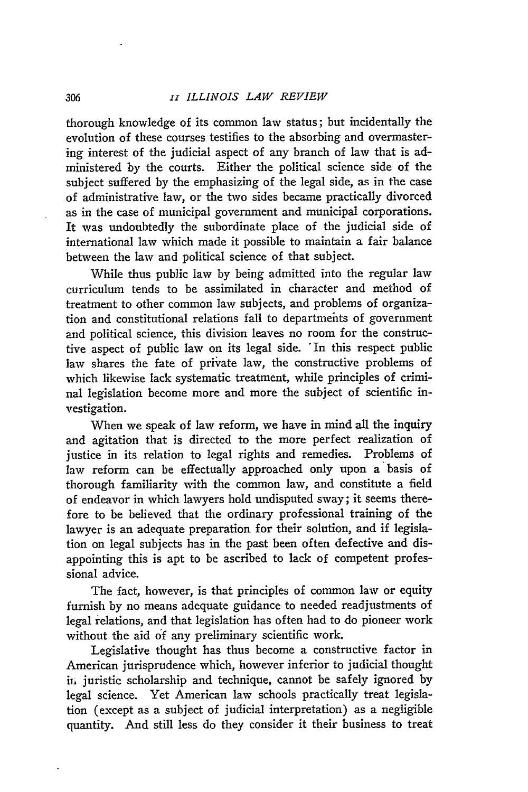thorough knowledge of its common law status; but incidentally the evolution of these courses testifies to the absorbing and overmastering interest of the judicial aspect of any branch of law that is administered by the courts. Either the political science side of the subject suffered by the emphasizing of the legal side, as in the case of administrative law, or the two sides became practically divorced as in the case of municipal government and municipal corporations. It was undoubtedly the subordinate place of the judicial side of international law which made it possible to maintain a fair balance between the law and political science of that subject.

While thus public law by being admitted into the regular law curriculum tends to be assimilated in character and method of treatment to other common law subjects, and problems of organization and constitutional relations fall to departments of government and political science, this division leaves no room for the constructive aspect of public law on its legal side. 'In this respect public law shares the fate of private law, the constructive problems of which likewise lack systematic treatment, while principles of criminal legislation become more and more the subject of scientific investigation.

When we speak of law reform, we have in mind all the inquiry and agitation that is directed to the more perfect realization of justice in its relation to legal rights and remedies. Problems of law reform can be effectually approached only upon a basis of thorough familiarity with the common law, and constitute a field of endeavor in which lawyers hold undisputed sway; it seems therefore to be believed that the ordinary professional training of the lawyer is an adequate preparation for their solution, and if legislation on legal subjects has in the past been often defective and disappointing this is apt to be ascribed to lack of competent professional advice.

The fact, however, is that principles of common law or equity furnish by no means adequate guidance to needed readjustments of legal relations, and that legislation has often had to do pioneer work without the aid **of** any preliminary scientific work.

Legislative thought has thus become a constructive factor in American jurisprudence which, however inferior to judicial thought in juristic scholarship and technique, cannot be safely ignored by legal science. Yet American law schools practically treat legislation (except as a subject of judicial interpretation) as a negligible quantity. And still less do they consider it their business to treat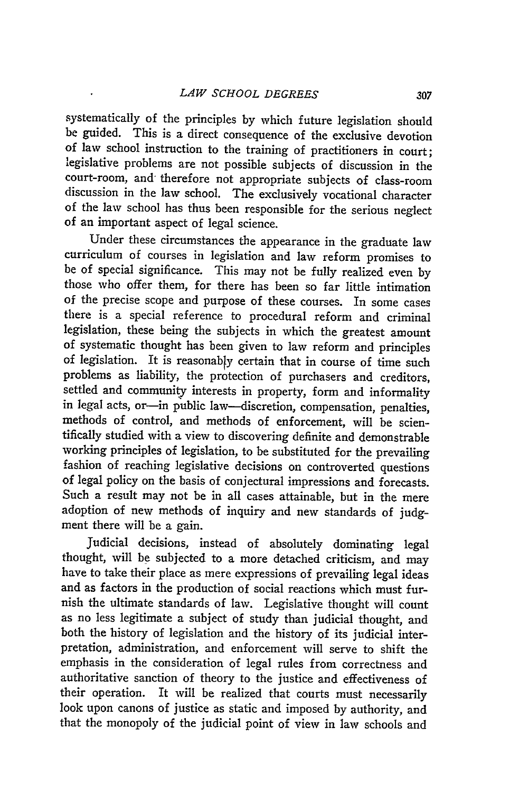systematically of the principles by which future legislation should be guided. This is a direct consequence of the exclusive devotion of law school instruction to the training of practitioners in court; legislative problems are not possible subjects of discussion in the court-room, and therefore not appropriate subjects of class-room discussion in the law school. The exclusively vocational character of the law school has thus been responsible for the serious neglect of an important aspect of legal science.

Under these circumstances the appearance in the graduate law curriculum of courses in legislation and law reform promises to be of special significance. This may not be fully realized even by those who offer them, for there has been so far little intimation of the precise scope and purpose of these courses. In some cases there is a special reference to procedural reform and criminal legislation, these being the subjects in which the greatest amount of systematic thought has been given to law reform and principles of legislation. It is reasonably certain that in course of time such problems as liability, the protection of purchasers and creditors, settled and community interests in property, form and informality in legal acts, or-in public law-discretion, compensation, penalties, methods of control, and methods of enforcement, will be scientifically studied with a view to discovering definite and demonstrable working principles of legislation, to be substituted for the prevailing fashion of reaching legislative decisions on controverted questions of legal policy on the basis of conjectural impressions and forecasts. Such a result may not be in all cases attainable, but in the mere adoption of new methods of inquiry and new standards of judgment there will be a gain.

Judicial decisions, instead of absolutely dominating legal thought, will be subjected to a more detached criticism, and may have to take their place as mere expressions of prevailing legal ideas and as factors in the production of social reactions which must furnish the ultimate standards of law. Legislative thought will count as no less legitimate a subject of study than judicial thought, and both the history of legislation and the history of its judicial interpretation, administration, and enforcement will serve to shift the emphasis in the consideration of legal rules from correctness and authoritative sanction of theory to the justice and effectiveness of their operation. It will be realized that courts must necessarily look upon canons of justice as static and imposed by authority, and that the monopoly of the judicial point of view in law schools and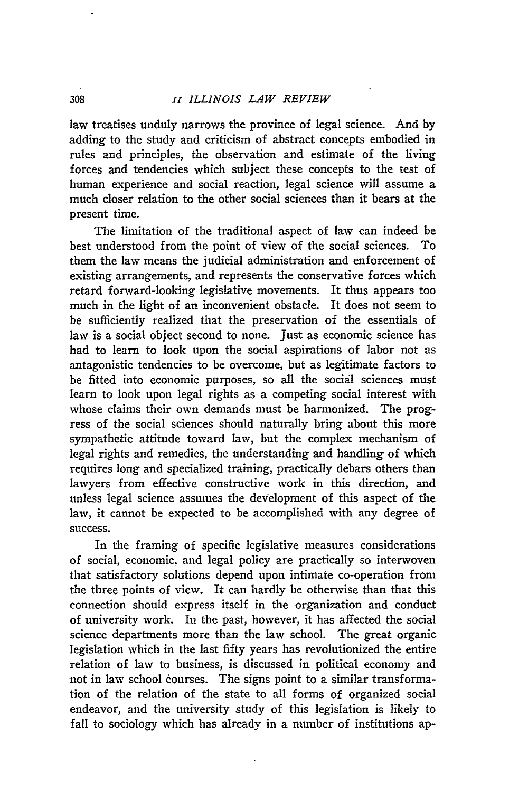law treatises unduly narrows the province of legal science. And by adding to the study and criticism of abstract concepts embodied in rules and principles, the observation and estimate of the living forces and tendencies which subject these concepts to the test of human experience and social reaction, legal science will assume a much closer relation to the other social sciences than it bears at the present time.

The limitation of the traditional aspect of law can indeed be best understood from the point of view of the social sciences. To them the law means the judicial administration and enforcement of existing arrangements, and represents the conservative forces which retard forward-looking legislative movements. It thus appears too much in the light of an inconvenient obstacle. It does not seem to be sufficiently realized that the preservation of the essentials of law is a social object second to none. Just as economic science has had to learn to look upon the social aspirations of labor not as antagonistic tendencies to be overcome, but as legitimate factors to be fitted into economic purposes, so all the social sciences must learn to look upon legal rights as a competing social interest with whose claims their own demands must be harmonized. The progress of the social sciences should naturally bring about this more sympathetic attitude toward law, but the complex mechanism of legal rights and remedies, the understanding and handling of which requires long and specialized training, practically debars others than lawyers from effective constructive work in this direction, and unless legal science assumes the development of this aspect of the law, it cannot be expected to be accomplished with any degree of success.

In the framing of specific legislative measures considerations of social, economic, and legal policy are practically so interwoven that satisfactory solutions depend upon intimate co-operation from the three points of view. It can hardly be otherwise than that this connection should express itself in the organization and conduct of university work. In the past, however, it has affected the social science departments more than the law school. The great organic legislation which in the last fifty years has revolutionized the entire relation of law to business, is discussed in political economy and not in law school courses. The signs point to a similar transformation of the relation of the state to all forms of organized social endeavor, and the university study of this legislation is likely to fall to sociology which has already in a number of institutions ap-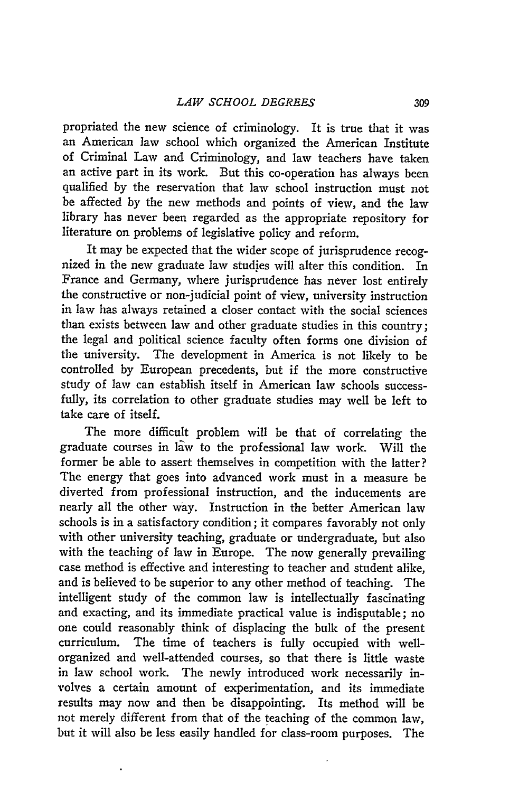propriated the new science of criminology. It is true that it was an American law school which organized the American Institute of Criminal Law and Criminology, and law teachers have taken an active part in its work. But this co-operation has always been qualified **by** the reservation that law school instruction must not be affected **by** the new methods and points of view, and the law library has never been regarded as the appropriate repository for literature on problems of legislative policy and reform.

It may be expected that the wider scope of jurisprudence recognized in the new graduate law studies will alter this condition. In France and Germany, where jurisprudence has never lost entirely the constructive or non-judicial point of view, university instruction in law has always retained a closer contact with the social sciences than exists between law and other graduate studies in this country; the legal and political science faculty often forms one division of the university. The development in America is not likely to be controlled **by** European precedents, but if the more constructive study of law can establish itself in American law schools successfully, its correlation to other graduate studies may well be left to take care of itself.

The more difficult problem will be that of correlating the graduate courses in law to the professional law work. Will the former be able to assert themselves in competition with the latter? The energy that goes into advanced work must in a measure be diverted from professional instruction, and the inducements are nearly all the other way. Instruction in the better American law schools is in a satisfactory condition; it compares favorably not only with other university teaching, graduate or undergraduate, but also with the teaching of law in Europe. The now generally prevailing case method is effective and interesting to teacher and student alike, and is believed to be superior to any other method of teaching. The intelligent study of the common law is intellectually fascinating and exacting, and its immediate practical value is indisputable; no one could reasonably think of displacing the bulk of the present curriculum. The time of teachers is fully occupied with wellorganized and well-attended courses, so that there is little waste in law school work. The newly introduced work necessarily involves a certain amount of experimentation, and its immediate results may now and then be disappointing. Its method will be not merely different from that of the teaching of the common law, but it will also be less easily handled for class-room purposes. The